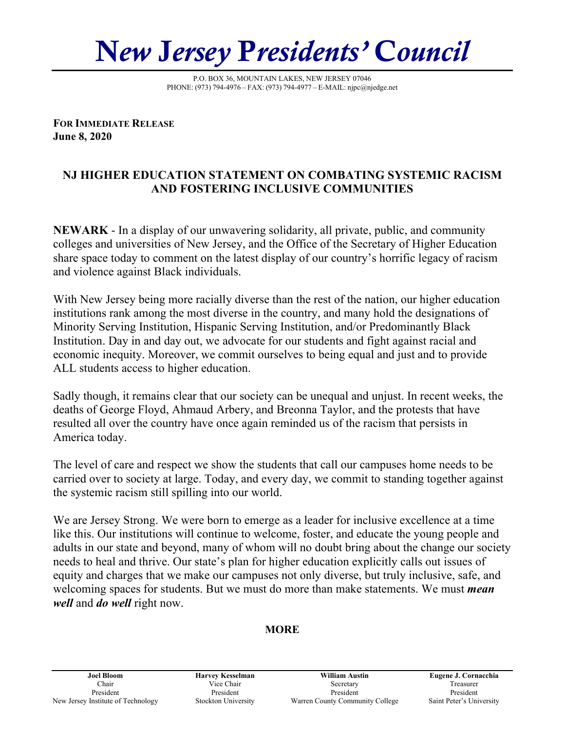N*ew* J*ersey* P*residents'* C*ouncil*

P.O. BOX 36, MOUNTAIN LAKES, NEW JERSEY 07046 PHONE: (973) 794-4976 – FAX: (973) 794-4977 – E-MAIL: njpc@njedge.net

**FOR IMMEDIATE RELEASE June 8, 2020** 

## **NJ HIGHER EDUCATION STATEMENT ON COMBATING SYSTEMIC RACISM AND FOSTERING INCLUSIVE COMMUNITIES**

**NEWARK** - In a display of our unwavering solidarity, all private, public, and community colleges and universities of New Jersey, and the Office of the Secretary of Higher Education share space today to comment on the latest display of our country's horrific legacy of racism and violence against Black individuals.

With New Jersey being more racially diverse than the rest of the nation, our higher education institutions rank among the most diverse in the country, and many hold the designations of Minority Serving Institution, Hispanic Serving Institution, and/or Predominantly Black Institution. Day in and day out, we advocate for our students and fight against racial and economic inequity. Moreover, we commit ourselves to being equal and just and to provide ALL students access to higher education.

Sadly though, it remains clear that our society can be unequal and unjust. In recent weeks, the deaths of George Floyd, Ahmaud Arbery, and Breonna Taylor, and the protests that have resulted all over the country have once again reminded us of the racism that persists in America today.

The level of care and respect we show the students that call our campuses home needs to be carried over to society at large. Today, and every day, we commit to standing together against the systemic racism still spilling into our world.

We are Jersey Strong. We were born to emerge as a leader for inclusive excellence at a time like this. Our institutions will continue to welcome, foster, and educate the young people and adults in our state and beyond, many of whom will no doubt bring about the change our society needs to heal and thrive. Our state's plan for higher education explicitly calls out issues of equity and charges that we make our campuses not only diverse, but truly inclusive, safe, and welcoming spaces for students. But we must do more than make statements. We must *mean well* and *do well* right now.

## **MORE**